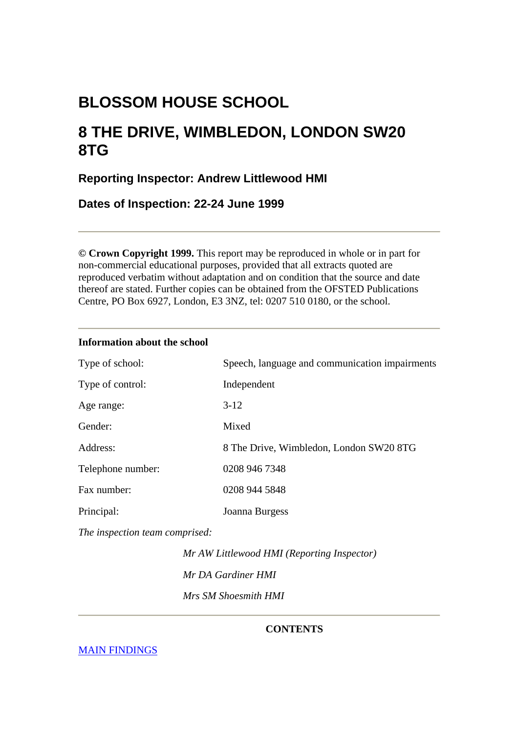# **BLOSSOM HOUSE SCHOOL**

# **8 THE DRIVE, WIMBLEDON, LONDON SW20 8TG**

## **Reporting Inspector: Andrew Littlewood HMI**

**Dates of Inspection: 22-24 June 1999** 

**© Crown Copyright 1999.** This report may be reproduced in whole or in part for non-commercial educational purposes, provided that all extracts quoted are reproduced verbatim without adaptation and on condition that the source and date thereof are stated. Further copies can be obtained from the OFSTED Publications Centre, PO Box 6927, London, E3 3NZ, tel: 0207 510 0180, or the school.

## **Information about the school**

| Type of school:   | Speech, language and communication impairments |
|-------------------|------------------------------------------------|
| Type of control:  | Independent                                    |
| Age range:        | $3-12$                                         |
| Gender:           | Mixed                                          |
| Address:          | 8 The Drive, Wimbledon, London SW20 8TG        |
| Telephone number: | 0208 946 7348                                  |
| Fax number:       | 0208 944 5848                                  |
| Principal:        | Joanna Burgess                                 |

*The inspection team comprised:*

 *Mr AW Littlewood HMI (Reporting Inspector) Mr DA Gardiner HMI Mrs SM Shoesmith HMI*

## **CONTENTS**

[MAIN FINDINGS](#page-1-0)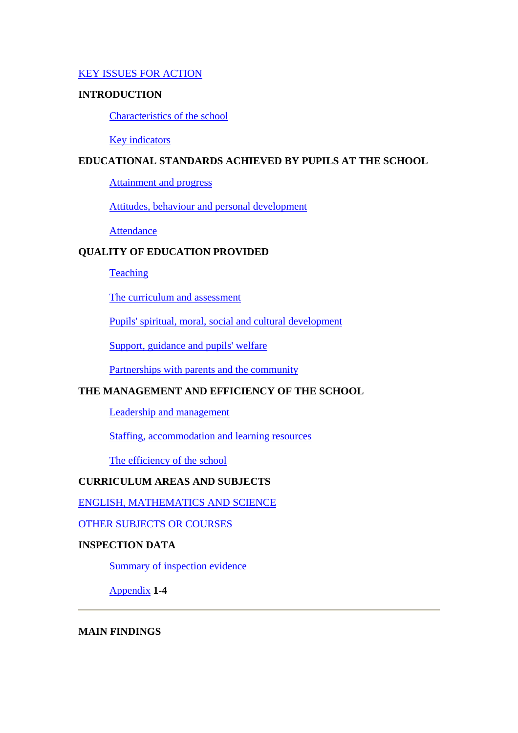### <span id="page-1-0"></span>[KEY ISSUES FOR ACTION](#page-3-0)

#### **INTRODUCTION**

[Characteristics of the school](#page-3-0)

[Key indicators](#page-4-0) 

## **EDUCATIONAL STANDARDS ACHIEVED BY PUPILS AT THE SCHOOL**

[Attainment and progress](#page-4-0)

[Attitudes, behaviour and personal development](#page-5-0)

**[Attendance](#page-6-0)** 

## **QUALITY OF EDUCATION PROVIDED**

**[Teaching](#page-6-0)** 

[The curriculum and assessment](#page-7-0)

[Pupils' spiritual, moral, social and cultural development](#page-8-0)

[Support, guidance and pupils' welfare](#page-8-0)

[Partnerships with parents and the community](#page-9-0) 

## **THE MANAGEMENT AND EFFICIENCY OF THE SCHOOL**

[Leadership and management](#page-9-0)

[Staffing, accommodation and learning resources](#page-10-0)

[The efficiency of the school](#page-10-0)

## **CURRICULUM AREAS AND SUBJECTS**

[ENGLISH, MATHEMATICS AND SCIENCE](#page-10-0)

[OTHER SUBJECTS OR COURSES](#page-13-0)

### **INSPECTION DATA**

[Summary of inspection evidence](#page-14-0)

[Appendix](#page-14-0) **1-4**

**MAIN FINDINGS**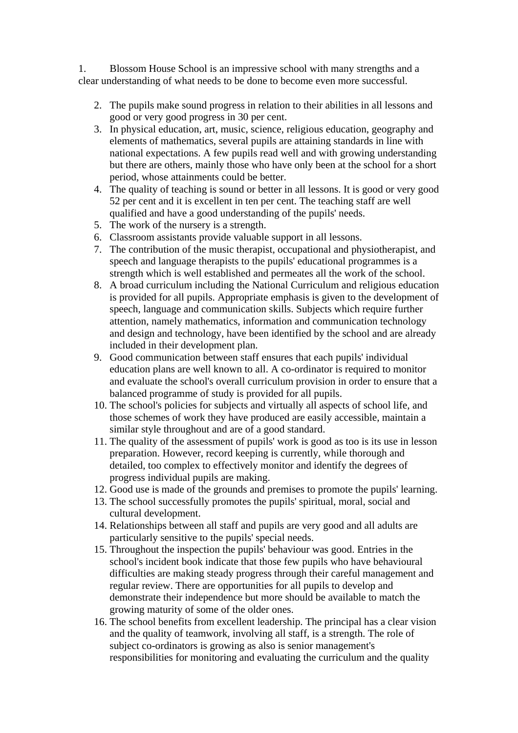1. Blossom House School is an impressive school with many strengths and a clear understanding of what needs to be done to become even more successful.

- 2. The pupils make sound progress in relation to their abilities in all lessons and good or very good progress in 30 per cent.
- 3. In physical education, art, music, science, religious education, geography and elements of mathematics, several pupils are attaining standards in line with national expectations. A few pupils read well and with growing understanding but there are others, mainly those who have only been at the school for a short period, whose attainments could be better.
- 4. The quality of teaching is sound or better in all lessons. It is good or very good 52 per cent and it is excellent in ten per cent. The teaching staff are well qualified and have a good understanding of the pupils' needs.
- 5. The work of the nursery is a strength.
- 6. Classroom assistants provide valuable support in all lessons.
- 7. The contribution of the music therapist, occupational and physiotherapist, and speech and language therapists to the pupils' educational programmes is a strength which is well established and permeates all the work of the school.
- 8. A broad curriculum including the National Curriculum and religious education is provided for all pupils. Appropriate emphasis is given to the development of speech, language and communication skills. Subjects which require further attention, namely mathematics, information and communication technology and design and technology, have been identified by the school and are already included in their development plan.
- 9. Good communication between staff ensures that each pupils' individual education plans are well known to all. A co-ordinator is required to monitor and evaluate the school's overall curriculum provision in order to ensure that a balanced programme of study is provided for all pupils.
- 10. The school's policies for subjects and virtually all aspects of school life, and those schemes of work they have produced are easily accessible, maintain a similar style throughout and are of a good standard.
- 11. The quality of the assessment of pupils' work is good as too is its use in lesson preparation. However, record keeping is currently, while thorough and detailed, too complex to effectively monitor and identify the degrees of progress individual pupils are making.
- 12. Good use is made of the grounds and premises to promote the pupils' learning.
- 13. The school successfully promotes the pupils' spiritual, moral, social and cultural development.
- 14. Relationships between all staff and pupils are very good and all adults are particularly sensitive to the pupils' special needs.
- 15. Throughout the inspection the pupils' behaviour was good. Entries in the school's incident book indicate that those few pupils who have behavioural difficulties are making steady progress through their careful management and regular review. There are opportunities for all pupils to develop and demonstrate their independence but more should be available to match the growing maturity of some of the older ones.
- 16. The school benefits from excellent leadership. The principal has a clear vision and the quality of teamwork, involving all staff, is a strength. The role of subject co-ordinators is growing as also is senior management's responsibilities for monitoring and evaluating the curriculum and the quality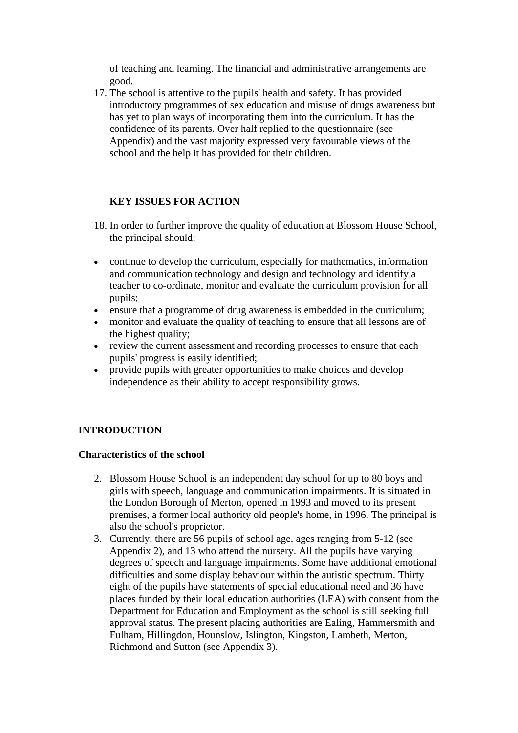<span id="page-3-0"></span>of teaching and learning. The financial and administrative arrangements are good.

17. The school is attentive to the pupils' health and safety. It has provided introductory programmes of sex education and misuse of drugs awareness but has yet to plan ways of incorporating them into the curriculum. It has the confidence of its parents. Over half replied to the questionnaire (see Appendix) and the vast majority expressed very favourable views of the school and the help it has provided for their children.

## **KEY ISSUES FOR ACTION**

- 18. In order to further improve the quality of education at Blossom House School, the principal should:
- continue to develop the curriculum, especially for mathematics, information and communication technology and design and technology and identify a teacher to co-ordinate, monitor and evaluate the curriculum provision for all pupils;
- ensure that a programme of drug awareness is embedded in the curriculum;
- monitor and evaluate the quality of teaching to ensure that all lessons are of the highest quality;
- review the current assessment and recording processes to ensure that each pupils' progress is easily identified;
- provide pupils with greater opportunities to make choices and develop independence as their ability to accept responsibility grows.

## **INTRODUCTION**

#### **Characteristics of the school**

- 2. Blossom House School is an independent day school for up to 80 boys and girls with speech, language and communication impairments. It is situated in the London Borough of Merton, opened in 1993 and moved to its present premises, a former local authority old people's home, in 1996. The principal is also the school's proprietor.
- 3. Currently, there are 56 pupils of school age, ages ranging from 5-12 (see Appendix 2), and 13 who attend the nursery. All the pupils have varying degrees of speech and language impairments. Some have additional emotional difficulties and some display behaviour within the autistic spectrum. Thirty eight of the pupils have statements of special educational need and 36 have places funded by their local education authorities (LEA) with consent from the Department for Education and Employment as the school is still seeking full approval status. The present placing authorities are Ealing, Hammersmith and Fulham, Hillingdon, Hounslow, Islington, Kingston, Lambeth, Merton, Richmond and Sutton (see Appendix 3).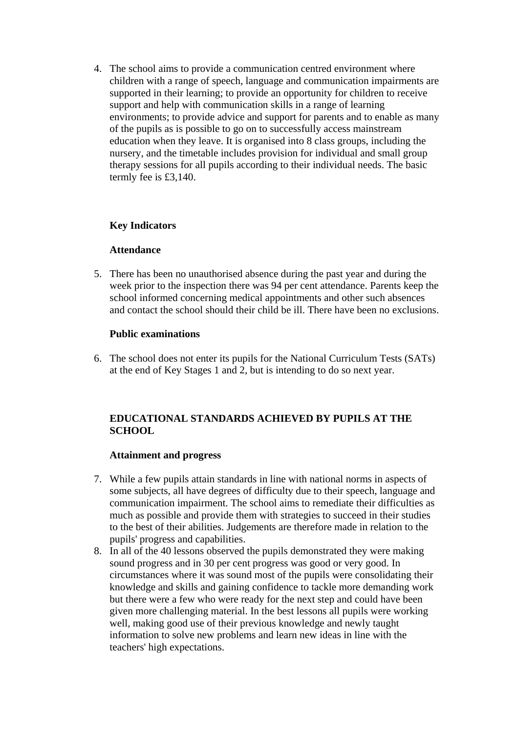<span id="page-4-0"></span>4. The school aims to provide a communication centred environment where children with a range of speech, language and communication impairments are supported in their learning; to provide an opportunity for children to receive support and help with communication skills in a range of learning environments; to provide advice and support for parents and to enable as many of the pupils as is possible to go on to successfully access mainstream education when they leave. It is organised into 8 class groups, including the nursery, and the timetable includes provision for individual and small group therapy sessions for all pupils according to their individual needs. The basic termly fee is £3,140.

## **Key Indicators**

#### **Attendance**

5. There has been no unauthorised absence during the past year and during the week prior to the inspection there was 94 per cent attendance. Parents keep the school informed concerning medical appointments and other such absences and contact the school should their child be ill. There have been no exclusions.

### **Public examinations**

6. The school does not enter its pupils for the National Curriculum Tests (SATs) at the end of Key Stages 1 and 2, but is intending to do so next year.

## **EDUCATIONAL STANDARDS ACHIEVED BY PUPILS AT THE SCHOOL**

#### **Attainment and progress**

- 7. While a few pupils attain standards in line with national norms in aspects of some subjects, all have degrees of difficulty due to their speech, language and communication impairment. The school aims to remediate their difficulties as much as possible and provide them with strategies to succeed in their studies to the best of their abilities. Judgements are therefore made in relation to the pupils' progress and capabilities.
- 8. In all of the 40 lessons observed the pupils demonstrated they were making sound progress and in 30 per cent progress was good or very good. In circumstances where it was sound most of the pupils were consolidating their knowledge and skills and gaining confidence to tackle more demanding work but there were a few who were ready for the next step and could have been given more challenging material. In the best lessons all pupils were working well, making good use of their previous knowledge and newly taught information to solve new problems and learn new ideas in line with the teachers' high expectations.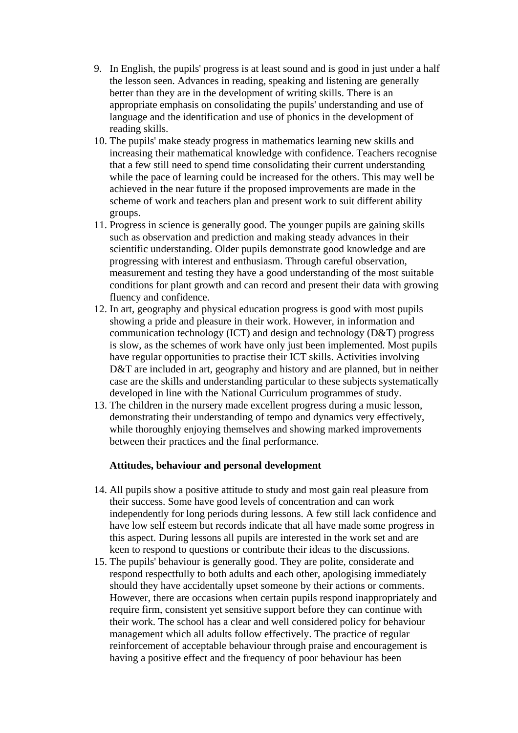- <span id="page-5-0"></span>9. In English, the pupils' progress is at least sound and is good in just under a half the lesson seen. Advances in reading, speaking and listening are generally better than they are in the development of writing skills. There is an appropriate emphasis on consolidating the pupils' understanding and use of language and the identification and use of phonics in the development of reading skills.
- 10. The pupils' make steady progress in mathematics learning new skills and increasing their mathematical knowledge with confidence. Teachers recognise that a few still need to spend time consolidating their current understanding while the pace of learning could be increased for the others. This may well be achieved in the near future if the proposed improvements are made in the scheme of work and teachers plan and present work to suit different ability groups.
- 11. Progress in science is generally good. The younger pupils are gaining skills such as observation and prediction and making steady advances in their scientific understanding. Older pupils demonstrate good knowledge and are progressing with interest and enthusiasm. Through careful observation, measurement and testing they have a good understanding of the most suitable conditions for plant growth and can record and present their data with growing fluency and confidence.
- 12. In art, geography and physical education progress is good with most pupils showing a pride and pleasure in their work. However, in information and communication technology (ICT) and design and technology (D&T) progress is slow, as the schemes of work have only just been implemented. Most pupils have regular opportunities to practise their ICT skills. Activities involving D&T are included in art, geography and history and are planned, but in neither case are the skills and understanding particular to these subjects systematically developed in line with the National Curriculum programmes of study.
- 13. The children in the nursery made excellent progress during a music lesson, demonstrating their understanding of tempo and dynamics very effectively, while thoroughly enjoying themselves and showing marked improvements between their practices and the final performance.

#### **Attitudes, behaviour and personal development**

- 14. All pupils show a positive attitude to study and most gain real pleasure from their success. Some have good levels of concentration and can work independently for long periods during lessons. A few still lack confidence and have low self esteem but records indicate that all have made some progress in this aspect. During lessons all pupils are interested in the work set and are keen to respond to questions or contribute their ideas to the discussions.
- 15. The pupils' behaviour is generally good. They are polite, considerate and respond respectfully to both adults and each other, apologising immediately should they have accidentally upset someone by their actions or comments. However, there are occasions when certain pupils respond inappropriately and require firm, consistent yet sensitive support before they can continue with their work. The school has a clear and well considered policy for behaviour management which all adults follow effectively. The practice of regular reinforcement of acceptable behaviour through praise and encouragement is having a positive effect and the frequency of poor behaviour has been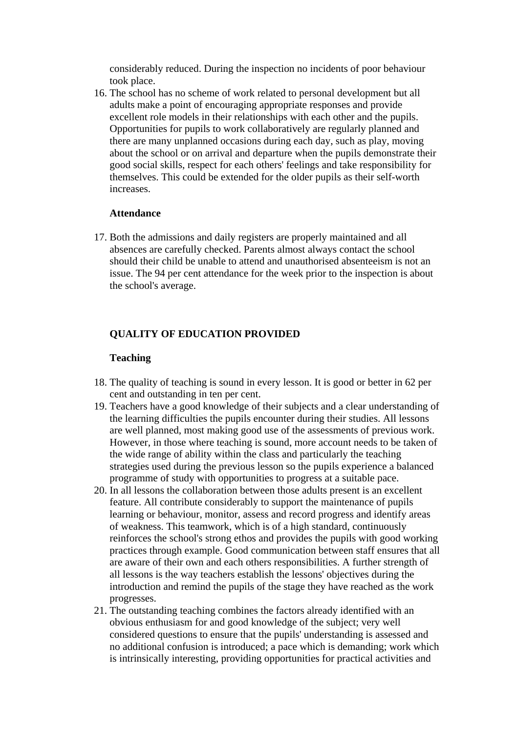<span id="page-6-0"></span>considerably reduced. During the inspection no incidents of poor behaviour took place.

16. The school has no scheme of work related to personal development but all adults make a point of encouraging appropriate responses and provide excellent role models in their relationships with each other and the pupils. Opportunities for pupils to work collaboratively are regularly planned and there are many unplanned occasions during each day, such as play, moving about the school or on arrival and departure when the pupils demonstrate their good social skills, respect for each others' feelings and take responsibility for themselves. This could be extended for the older pupils as their self-worth increases.

#### **Attendance**

17. Both the admissions and daily registers are properly maintained and all absences are carefully checked. Parents almost always contact the school should their child be unable to attend and unauthorised absenteeism is not an issue. The 94 per cent attendance for the week prior to the inspection is about the school's average.

### **QUALITY OF EDUCATION PROVIDED**

#### **Teaching**

- 18. The quality of teaching is sound in every lesson. It is good or better in 62 per cent and outstanding in ten per cent.
- 19. Teachers have a good knowledge of their subjects and a clear understanding of the learning difficulties the pupils encounter during their studies. All lessons are well planned, most making good use of the assessments of previous work. However, in those where teaching is sound, more account needs to be taken of the wide range of ability within the class and particularly the teaching strategies used during the previous lesson so the pupils experience a balanced programme of study with opportunities to progress at a suitable pace.
- 20. In all lessons the collaboration between those adults present is an excellent feature. All contribute considerably to support the maintenance of pupils learning or behaviour, monitor, assess and record progress and identify areas of weakness. This teamwork, which is of a high standard, continuously reinforces the school's strong ethos and provides the pupils with good working practices through example. Good communication between staff ensures that all are aware of their own and each others responsibilities. A further strength of all lessons is the way teachers establish the lessons' objectives during the introduction and remind the pupils of the stage they have reached as the work progresses.
- 21. The outstanding teaching combines the factors already identified with an obvious enthusiasm for and good knowledge of the subject; very well considered questions to ensure that the pupils' understanding is assessed and no additional confusion is introduced; a pace which is demanding; work which is intrinsically interesting, providing opportunities for practical activities and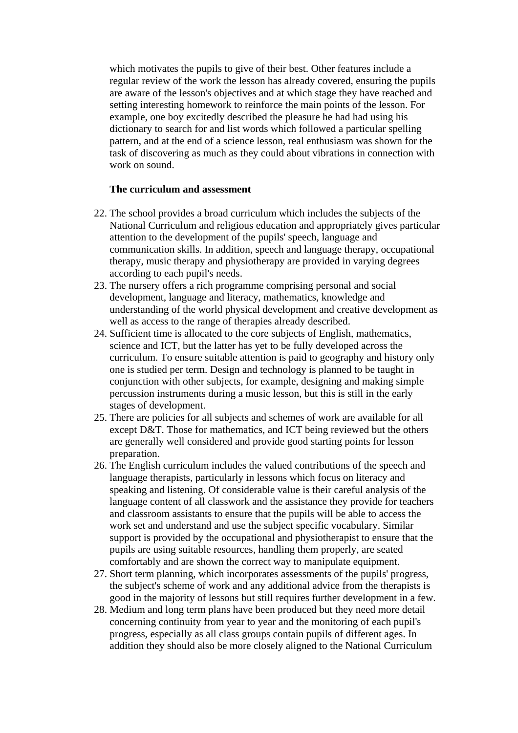<span id="page-7-0"></span>which motivates the pupils to give of their best. Other features include a regular review of the work the lesson has already covered, ensuring the pupils are aware of the lesson's objectives and at which stage they have reached and setting interesting homework to reinforce the main points of the lesson. For example, one boy excitedly described the pleasure he had had using his dictionary to search for and list words which followed a particular spelling pattern, and at the end of a science lesson, real enthusiasm was shown for the task of discovering as much as they could about vibrations in connection with work on sound.

#### **The curriculum and assessment**

- 22. The school provides a broad curriculum which includes the subjects of the National Curriculum and religious education and appropriately gives particular attention to the development of the pupils' speech, language and communication skills. In addition, speech and language therapy, occupational therapy, music therapy and physiotherapy are provided in varying degrees according to each pupil's needs.
- 23. The nursery offers a rich programme comprising personal and social development, language and literacy, mathematics, knowledge and understanding of the world physical development and creative development as well as access to the range of therapies already described.
- 24. Sufficient time is allocated to the core subjects of English, mathematics, science and ICT, but the latter has yet to be fully developed across the curriculum. To ensure suitable attention is paid to geography and history only one is studied per term. Design and technology is planned to be taught in conjunction with other subjects, for example, designing and making simple percussion instruments during a music lesson, but this is still in the early stages of development.
- 25. There are policies for all subjects and schemes of work are available for all except D&T. Those for mathematics, and ICT being reviewed but the others are generally well considered and provide good starting points for lesson preparation.
- 26. The English curriculum includes the valued contributions of the speech and language therapists, particularly in lessons which focus on literacy and speaking and listening. Of considerable value is their careful analysis of the language content of all classwork and the assistance they provide for teachers and classroom assistants to ensure that the pupils will be able to access the work set and understand and use the subject specific vocabulary. Similar support is provided by the occupational and physiotherapist to ensure that the pupils are using suitable resources, handling them properly, are seated comfortably and are shown the correct way to manipulate equipment.
- 27. Short term planning, which incorporates assessments of the pupils' progress, the subject's scheme of work and any additional advice from the therapists is good in the majority of lessons but still requires further development in a few.
- 28. Medium and long term plans have been produced but they need more detail concerning continuity from year to year and the monitoring of each pupil's progress, especially as all class groups contain pupils of different ages. In addition they should also be more closely aligned to the National Curriculum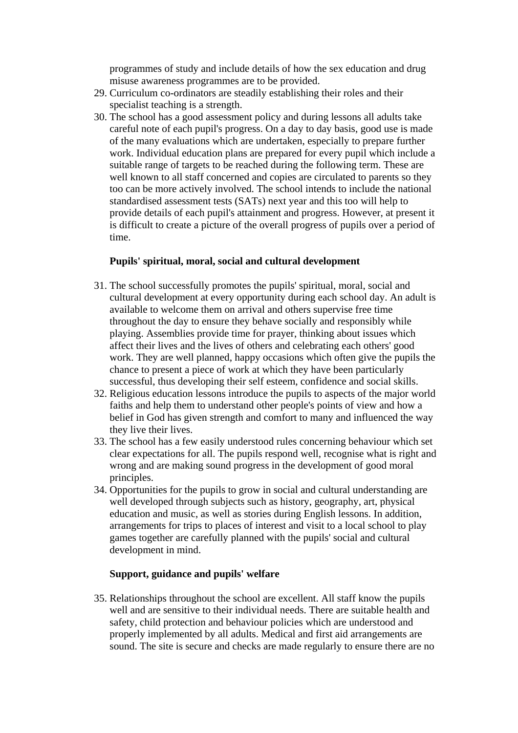<span id="page-8-0"></span>programmes of study and include details of how the sex education and drug misuse awareness programmes are to be provided.

- 29. Curriculum co-ordinators are steadily establishing their roles and their specialist teaching is a strength.
- 30. The school has a good assessment policy and during lessons all adults take careful note of each pupil's progress. On a day to day basis, good use is made of the many evaluations which are undertaken, especially to prepare further work. Individual education plans are prepared for every pupil which include a suitable range of targets to be reached during the following term. These are well known to all staff concerned and copies are circulated to parents so they too can be more actively involved. The school intends to include the national standardised assessment tests (SATs) next year and this too will help to provide details of each pupil's attainment and progress. However, at present it is difficult to create a picture of the overall progress of pupils over a period of time.

### **Pupils' spiritual, moral, social and cultural development**

- 31. The school successfully promotes the pupils' spiritual, moral, social and cultural development at every opportunity during each school day. An adult is available to welcome them on arrival and others supervise free time throughout the day to ensure they behave socially and responsibly while playing. Assemblies provide time for prayer, thinking about issues which affect their lives and the lives of others and celebrating each others' good work. They are well planned, happy occasions which often give the pupils the chance to present a piece of work at which they have been particularly successful, thus developing their self esteem, confidence and social skills.
- 32. Religious education lessons introduce the pupils to aspects of the major world faiths and help them to understand other people's points of view and how a belief in God has given strength and comfort to many and influenced the way they live their lives.
- 33. The school has a few easily understood rules concerning behaviour which set clear expectations for all. The pupils respond well, recognise what is right and wrong and are making sound progress in the development of good moral principles.
- 34. Opportunities for the pupils to grow in social and cultural understanding are well developed through subjects such as history, geography, art, physical education and music, as well as stories during English lessons. In addition, arrangements for trips to places of interest and visit to a local school to play games together are carefully planned with the pupils' social and cultural development in mind.

#### **Support, guidance and pupils' welfare**

35. Relationships throughout the school are excellent. All staff know the pupils well and are sensitive to their individual needs. There are suitable health and safety, child protection and behaviour policies which are understood and properly implemented by all adults. Medical and first aid arrangements are sound. The site is secure and checks are made regularly to ensure there are no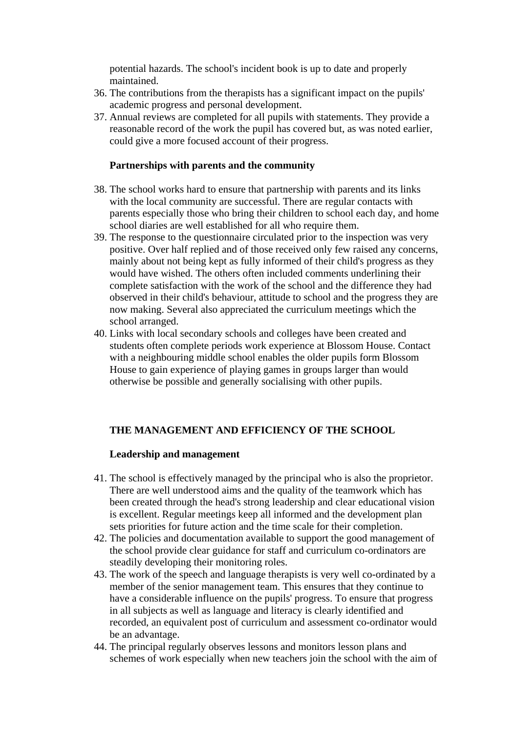<span id="page-9-0"></span>potential hazards. The school's incident book is up to date and properly maintained.

- 36. The contributions from the therapists has a significant impact on the pupils' academic progress and personal development.
- 37. Annual reviews are completed for all pupils with statements. They provide a reasonable record of the work the pupil has covered but, as was noted earlier, could give a more focused account of their progress.

#### **Partnerships with parents and the community**

- 38. The school works hard to ensure that partnership with parents and its links with the local community are successful. There are regular contacts with parents especially those who bring their children to school each day, and home school diaries are well established for all who require them.
- 39. The response to the questionnaire circulated prior to the inspection was very positive. Over half replied and of those received only few raised any concerns, mainly about not being kept as fully informed of their child's progress as they would have wished. The others often included comments underlining their complete satisfaction with the work of the school and the difference they had observed in their child's behaviour, attitude to school and the progress they are now making. Several also appreciated the curriculum meetings which the school arranged.
- 40. Links with local secondary schools and colleges have been created and students often complete periods work experience at Blossom House. Contact with a neighbouring middle school enables the older pupils form Blossom House to gain experience of playing games in groups larger than would otherwise be possible and generally socialising with other pupils.

#### **THE MANAGEMENT AND EFFICIENCY OF THE SCHOOL**

#### **Leadership and management**

- 41. The school is effectively managed by the principal who is also the proprietor. There are well understood aims and the quality of the teamwork which has been created through the head's strong leadership and clear educational vision is excellent. Regular meetings keep all informed and the development plan sets priorities for future action and the time scale for their completion.
- 42. The policies and documentation available to support the good management of the school provide clear guidance for staff and curriculum co-ordinators are steadily developing their monitoring roles.
- 43. The work of the speech and language therapists is very well co-ordinated by a member of the senior management team. This ensures that they continue to have a considerable influence on the pupils' progress. To ensure that progress in all subjects as well as language and literacy is clearly identified and recorded, an equivalent post of curriculum and assessment co-ordinator would be an advantage.
- 44. The principal regularly observes lessons and monitors lesson plans and schemes of work especially when new teachers join the school with the aim of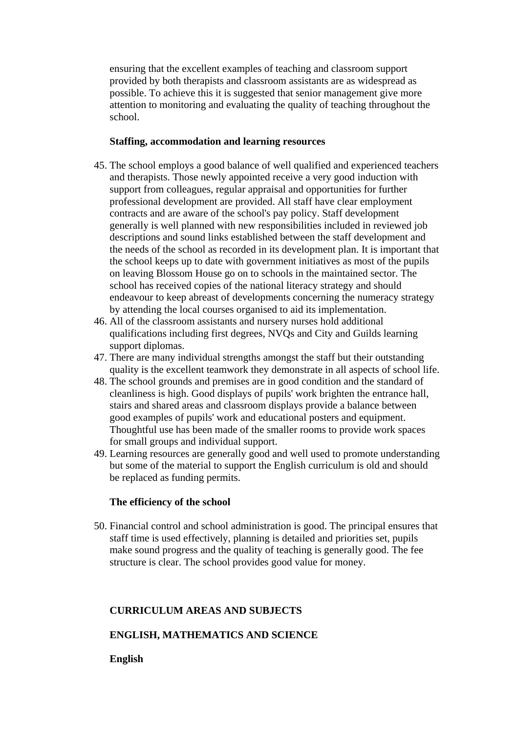<span id="page-10-0"></span>ensuring that the excellent examples of teaching and classroom support provided by both therapists and classroom assistants are as widespread as possible. To achieve this it is suggested that senior management give more attention to monitoring and evaluating the quality of teaching throughout the school.

#### **Staffing, accommodation and learning resources**

- 45. The school employs a good balance of well qualified and experienced teachers and therapists. Those newly appointed receive a very good induction with support from colleagues, regular appraisal and opportunities for further professional development are provided. All staff have clear employment contracts and are aware of the school's pay policy. Staff development generally is well planned with new responsibilities included in reviewed job descriptions and sound links established between the staff development and the needs of the school as recorded in its development plan. It is important that the school keeps up to date with government initiatives as most of the pupils on leaving Blossom House go on to schools in the maintained sector. The school has received copies of the national literacy strategy and should endeavour to keep abreast of developments concerning the numeracy strategy by attending the local courses organised to aid its implementation.
- 46. All of the classroom assistants and nursery nurses hold additional qualifications including first degrees, NVQs and City and Guilds learning support diplomas.
- 47. There are many individual strengths amongst the staff but their outstanding quality is the excellent teamwork they demonstrate in all aspects of school life.
- 48. The school grounds and premises are in good condition and the standard of cleanliness is high. Good displays of pupils' work brighten the entrance hall, stairs and shared areas and classroom displays provide a balance between good examples of pupils' work and educational posters and equipment. Thoughtful use has been made of the smaller rooms to provide work spaces for small groups and individual support.
- 49. Learning resources are generally good and well used to promote understanding but some of the material to support the English curriculum is old and should be replaced as funding permits.

#### **The efficiency of the school**

50. Financial control and school administration is good. The principal ensures that staff time is used effectively, planning is detailed and priorities set, pupils make sound progress and the quality of teaching is generally good. The fee structure is clear. The school provides good value for money.

#### **CURRICULUM AREAS AND SUBJECTS**

## **ENGLISH, MATHEMATICS AND SCIENCE**

#### **English**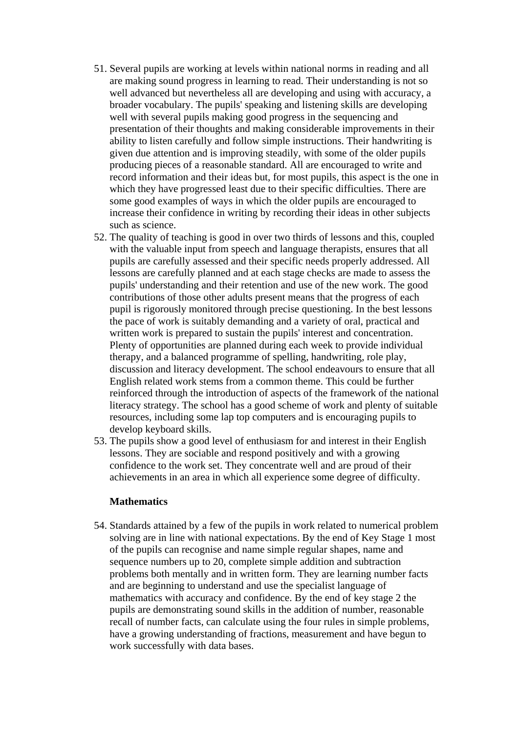- 51. Several pupils are working at levels within national norms in reading and all are making sound progress in learning to read. Their understanding is not so well advanced but nevertheless all are developing and using with accuracy, a broader vocabulary. The pupils' speaking and listening skills are developing well with several pupils making good progress in the sequencing and presentation of their thoughts and making considerable improvements in their ability to listen carefully and follow simple instructions. Their handwriting is given due attention and is improving steadily, with some of the older pupils producing pieces of a reasonable standard. All are encouraged to write and record information and their ideas but, for most pupils, this aspect is the one in which they have progressed least due to their specific difficulties. There are some good examples of ways in which the older pupils are encouraged to increase their confidence in writing by recording their ideas in other subjects such as science.
- 52. The quality of teaching is good in over two thirds of lessons and this, coupled with the valuable input from speech and language therapists, ensures that all pupils are carefully assessed and their specific needs properly addressed. All lessons are carefully planned and at each stage checks are made to assess the pupils' understanding and their retention and use of the new work. The good contributions of those other adults present means that the progress of each pupil is rigorously monitored through precise questioning. In the best lessons the pace of work is suitably demanding and a variety of oral, practical and written work is prepared to sustain the pupils' interest and concentration. Plenty of opportunities are planned during each week to provide individual therapy, and a balanced programme of spelling, handwriting, role play, discussion and literacy development. The school endeavours to ensure that all English related work stems from a common theme. This could be further reinforced through the introduction of aspects of the framework of the national literacy strategy. The school has a good scheme of work and plenty of suitable resources, including some lap top computers and is encouraging pupils to develop keyboard skills.
- 53. The pupils show a good level of enthusiasm for and interest in their English lessons. They are sociable and respond positively and with a growing confidence to the work set. They concentrate well and are proud of their achievements in an area in which all experience some degree of difficulty.

#### **Mathematics**

54. Standards attained by a few of the pupils in work related to numerical problem solving are in line with national expectations. By the end of Key Stage 1 most of the pupils can recognise and name simple regular shapes, name and sequence numbers up to 20, complete simple addition and subtraction problems both mentally and in written form. They are learning number facts and are beginning to understand and use the specialist language of mathematics with accuracy and confidence. By the end of key stage 2 the pupils are demonstrating sound skills in the addition of number, reasonable recall of number facts, can calculate using the four rules in simple problems, have a growing understanding of fractions, measurement and have begun to work successfully with data bases.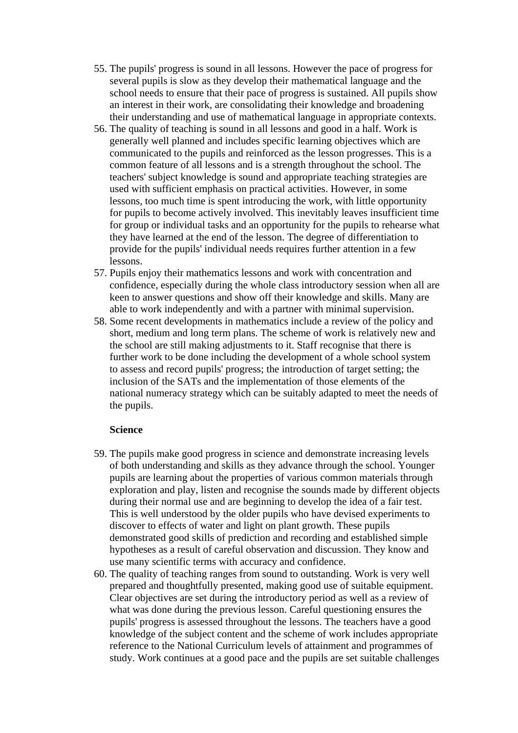- 55. The pupils' progress is sound in all lessons. However the pace of progress for several pupils is slow as they develop their mathematical language and the school needs to ensure that their pace of progress is sustained. All pupils show an interest in their work, are consolidating their knowledge and broadening their understanding and use of mathematical language in appropriate contexts.
- 56. The quality of teaching is sound in all lessons and good in a half. Work is generally well planned and includes specific learning objectives which are communicated to the pupils and reinforced as the lesson progresses. This is a common feature of all lessons and is a strength throughout the school. The teachers' subject knowledge is sound and appropriate teaching strategies are used with sufficient emphasis on practical activities. However, in some lessons, too much time is spent introducing the work, with little opportunity for pupils to become actively involved. This inevitably leaves insufficient time for group or individual tasks and an opportunity for the pupils to rehearse what they have learned at the end of the lesson. The degree of differentiation to provide for the pupils' individual needs requires further attention in a few lessons.
- 57. Pupils enjoy their mathematics lessons and work with concentration and confidence, especially during the whole class introductory session when all are keen to answer questions and show off their knowledge and skills. Many are able to work independently and with a partner with minimal supervision.
- 58. Some recent developments in mathematics include a review of the policy and short, medium and long term plans. The scheme of work is relatively new and the school are still making adjustments to it. Staff recognise that there is further work to be done including the development of a whole school system to assess and record pupils' progress; the introduction of target setting; the inclusion of the SATs and the implementation of those elements of the national numeracy strategy which can be suitably adapted to meet the needs of the pupils.

#### **Science**

- 59. The pupils make good progress in science and demonstrate increasing levels of both understanding and skills as they advance through the school. Younger pupils are learning about the properties of various common materials through exploration and play, listen and recognise the sounds made by different objects during their normal use and are beginning to develop the idea of a fair test. This is well understood by the older pupils who have devised experiments to discover to effects of water and light on plant growth. These pupils demonstrated good skills of prediction and recording and established simple hypotheses as a result of careful observation and discussion. They know and use many scientific terms with accuracy and confidence.
- 60. The quality of teaching ranges from sound to outstanding. Work is very well prepared and thoughtfully presented, making good use of suitable equipment. Clear objectives are set during the introductory period as well as a review of what was done during the previous lesson. Careful questioning ensures the pupils' progress is assessed throughout the lessons. The teachers have a good knowledge of the subject content and the scheme of work includes appropriate reference to the National Curriculum levels of attainment and programmes of study. Work continues at a good pace and the pupils are set suitable challenges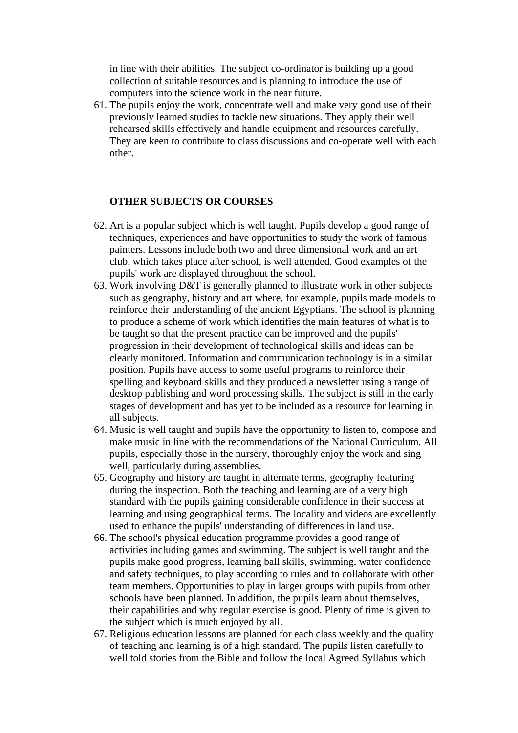<span id="page-13-0"></span>in line with their abilities. The subject co-ordinator is building up a good collection of suitable resources and is planning to introduce the use of computers into the science work in the near future.

61. The pupils enjoy the work, concentrate well and make very good use of their previously learned studies to tackle new situations. They apply their well rehearsed skills effectively and handle equipment and resources carefully. They are keen to contribute to class discussions and co-operate well with each other.

#### **OTHER SUBJECTS OR COURSES**

- 62. Art is a popular subject which is well taught. Pupils develop a good range of techniques, experiences and have opportunities to study the work of famous painters. Lessons include both two and three dimensional work and an art club, which takes place after school, is well attended. Good examples of the pupils' work are displayed throughout the school.
- 63. Work involving D&T is generally planned to illustrate work in other subjects such as geography, history and art where, for example, pupils made models to reinforce their understanding of the ancient Egyptians. The school is planning to produce a scheme of work which identifies the main features of what is to be taught so that the present practice can be improved and the pupils' progression in their development of technological skills and ideas can be clearly monitored. Information and communication technology is in a similar position. Pupils have access to some useful programs to reinforce their spelling and keyboard skills and they produced a newsletter using a range of desktop publishing and word processing skills. The subject is still in the early stages of development and has yet to be included as a resource for learning in all subjects.
- 64. Music is well taught and pupils have the opportunity to listen to, compose and make music in line with the recommendations of the National Curriculum. All pupils, especially those in the nursery, thoroughly enjoy the work and sing well, particularly during assemblies.
- 65. Geography and history are taught in alternate terms, geography featuring during the inspection. Both the teaching and learning are of a very high standard with the pupils gaining considerable confidence in their success at learning and using geographical terms. The locality and videos are excellently used to enhance the pupils' understanding of differences in land use.
- 66. The school's physical education programme provides a good range of activities including games and swimming. The subject is well taught and the pupils make good progress, learning ball skills, swimming, water confidence and safety techniques, to play according to rules and to collaborate with other team members. Opportunities to play in larger groups with pupils from other schools have been planned. In addition, the pupils learn about themselves, their capabilities and why regular exercise is good. Plenty of time is given to the subject which is much enjoyed by all.
- 67. Religious education lessons are planned for each class weekly and the quality of teaching and learning is of a high standard. The pupils listen carefully to well told stories from the Bible and follow the local Agreed Syllabus which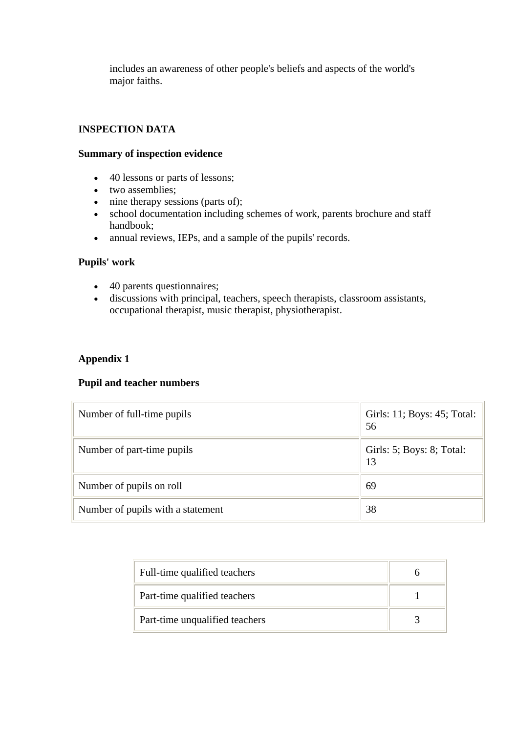<span id="page-14-0"></span>includes an awareness of other people's beliefs and aspects of the world's major faiths.

## **INSPECTION DATA**

#### **Summary of inspection evidence**

- 40 lessons or parts of lessons;
- two assemblies;
- nine therapy sessions (parts of);
- school documentation including schemes of work, parents brochure and staff handbook;
- annual reviews, IEPs, and a sample of the pupils' records.

## **Pupils' work**

- 40 parents questionnaires;
- discussions with principal, teachers, speech therapists, classroom assistants, occupational therapist, music therapist, physiotherapist.

## **Appendix 1**

#### **Pupil and teacher numbers**

| Number of full-time pupils        | Girls: 11; Boys: 45; Total:<br>56 |
|-----------------------------------|-----------------------------------|
| Number of part-time pupils        | Girls: 5; Boys: 8; Total:<br>13   |
| Number of pupils on roll          | 69                                |
| Number of pupils with a statement | 38                                |

| Full-time qualified teachers   |  |
|--------------------------------|--|
| Part-time qualified teachers   |  |
| Part-time unqualified teachers |  |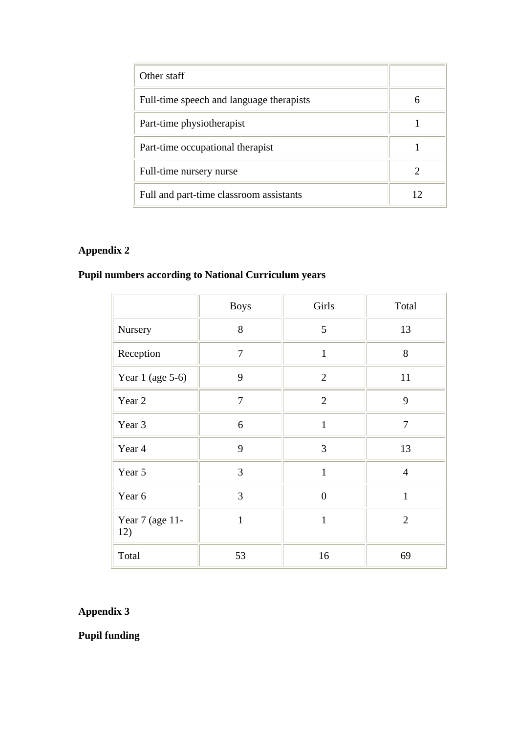| Other staff                              |    |
|------------------------------------------|----|
| Full-time speech and language therapists | 6  |
| Part-time physiotherapist                |    |
| Part-time occupational therapist         |    |
| Full-time nursery nurse                  |    |
| Full and part-time classroom assistants  | 12 |

## **Appendix 2**

# **Pupil numbers according to National Curriculum years**

|                        | <b>Boys</b>    | Girls          | Total          |
|------------------------|----------------|----------------|----------------|
| Nursery                | 8              | 5              | 13             |
| Reception              | $\overline{7}$ | $\mathbf{1}$   | 8              |
| Year 1 (age $5-6$ )    | 9              | $\overline{2}$ | 11             |
| Year 2                 | $\overline{7}$ | $\overline{2}$ | 9              |
| Year 3                 | 6              | $\mathbf{1}$   | $\overline{7}$ |
| Year 4                 | 9              | 3              | 13             |
| Year 5                 | $\overline{3}$ | $\mathbf{1}$   | $\overline{4}$ |
| Year 6                 | 3              | $\overline{0}$ | $\mathbf{1}$   |
| Year 7 (age 11-<br>12) | $\mathbf{1}$   | $\mathbf{1}$   | $\overline{2}$ |
| Total                  | 53             | 16             | 69             |

## **Appendix 3**

**Pupil funding**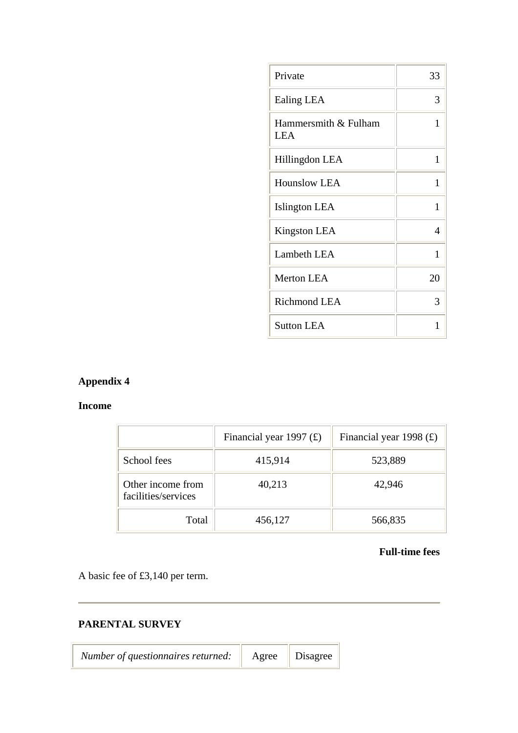| Private                            | 33 |
|------------------------------------|----|
| Ealing LEA                         | 3  |
| Hammersmith & Fulham<br><b>LEA</b> | 1  |
| Hillingdon LEA                     | 1  |
| <b>Hounslow LEA</b>                | 1  |
| Islington LEA                      | 1  |
| <b>Kingston LEA</b>                | 4  |
| Lambeth LEA                        | 1  |
| <b>Merton LEA</b>                  | 20 |
| <b>Richmond LEA</b>                | 3  |
| <b>Sutton LEA</b>                  | 1  |

## **Appendix 4**

## **Income**

|                                          | Financial year 1997 $(E)$ | Financial year 1998 $(E)$ |
|------------------------------------------|---------------------------|---------------------------|
| School fees                              | 415,914                   | 523,889                   |
| Other income from<br>facilities/services | 40,213                    | 42,946                    |
| Total                                    | 456,127                   | 566,835                   |

 $\overline{a}$ 

## **Full-time fees**

A basic fee of £3,140 per term.

## **PARENTAL SURVEY**

| <i>Number of questionnaires returned:</i> Agree Disagree |  |
|----------------------------------------------------------|--|
|                                                          |  |

 $\overline{a}$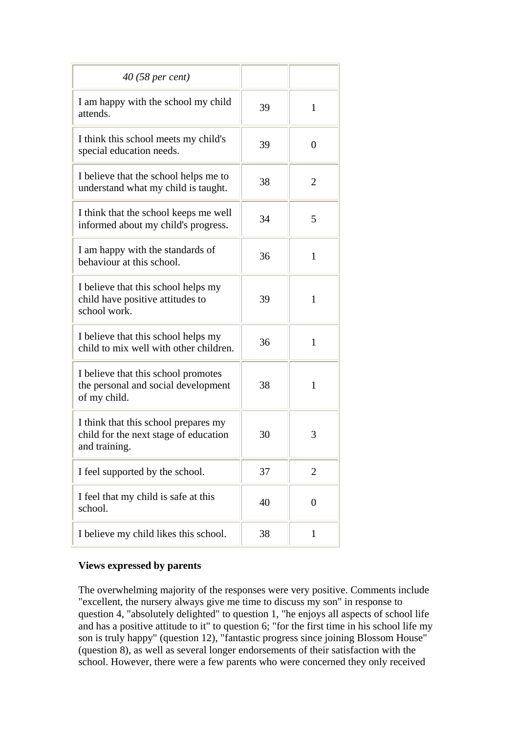| 40 (58 per cent)                                                                               |    |                |
|------------------------------------------------------------------------------------------------|----|----------------|
| I am happy with the school my child<br>attends.                                                | 39 | $\mathbf{1}$   |
| I think this school meets my child's<br>special education needs.                               | 39 | $\Omega$       |
| I believe that the school helps me to<br>understand what my child is taught.                   | 38 | 2              |
| I think that the school keeps me well<br>informed about my child's progress.                   | 34 | 5              |
| I am happy with the standards of<br>behaviour at this school.                                  | 36 | 1              |
| I believe that this school helps my<br>child have positive attitudes to<br>school work.        | 39 | 1              |
| I believe that this school helps my<br>child to mix well with other children.                  | 36 | 1              |
| I believe that this school promotes<br>the personal and social development<br>of my child.     | 38 | 1              |
| I think that this school prepares my<br>child for the next stage of education<br>and training. | 30 | 3              |
| I feel supported by the school.                                                                | 37 | 2              |
| I feel that my child is safe at this<br>school.                                                | 40 | $\overline{0}$ |
| I believe my child likes this school.                                                          | 38 | 1              |

## **Views expressed by parents**

The overwhelming majority of the responses were very positive. Comments include "excellent, the nursery always give me time to discuss my son" in response to question 4, "absolutely delighted" to question 1, "he enjoys all aspects of school life and has a positive attitude to it" to question 6; "for the first time in his school life my son is truly happy" (question 12), "fantastic progress since joining Blossom House" (question 8), as well as several longer endorsements of their satisfaction with the school. However, there were a few parents who were concerned they only received